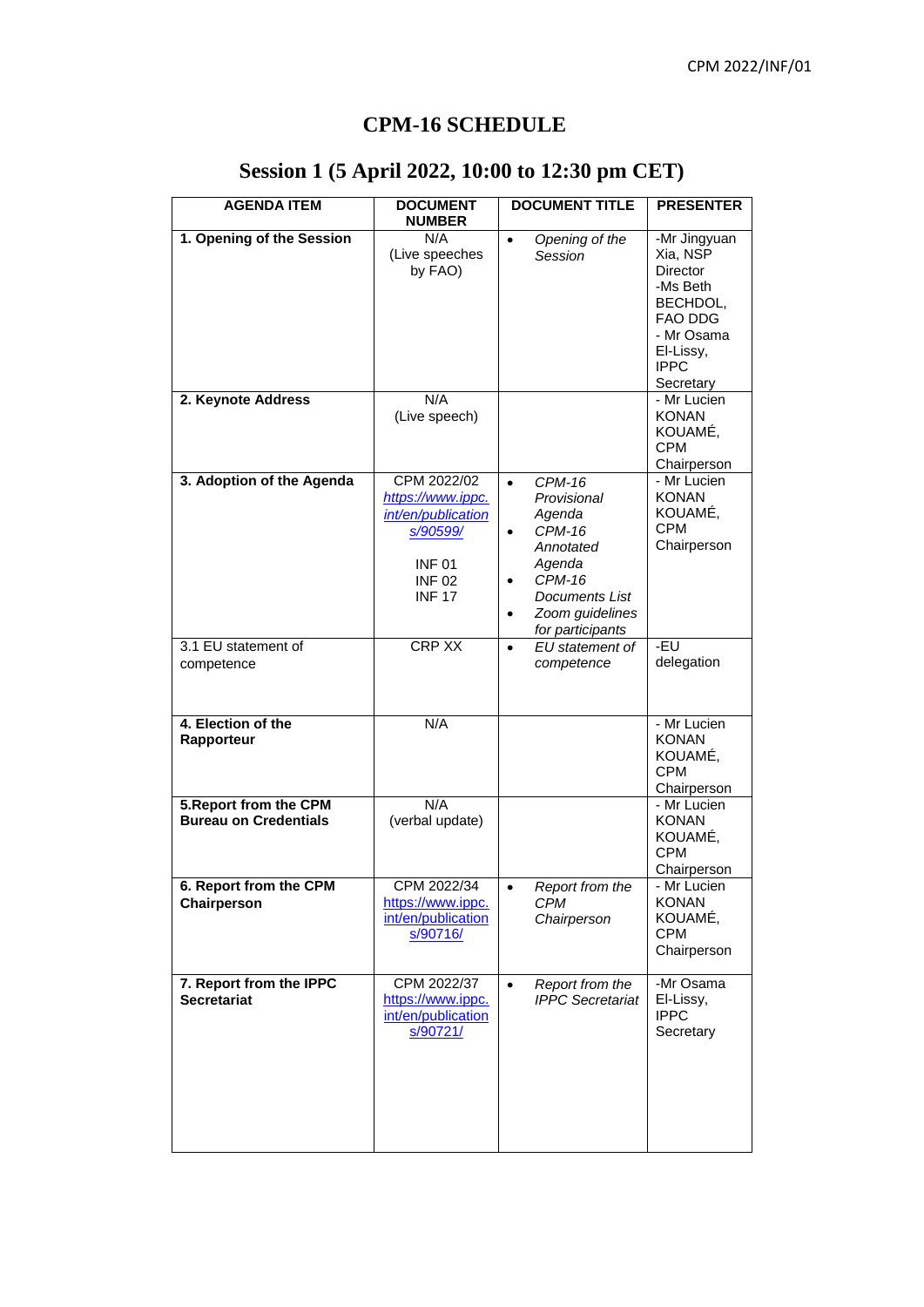#### **CPM-16 SCHEDULE**

| <b>AGENDA ITEM</b>                                     | <b>DOCUMENT</b><br><b>NUMBER</b>                                                                                    | <b>DOCUMENT TITLE</b>                                                                                                                                                 | <b>PRESENTER</b>                                                                                                               |
|--------------------------------------------------------|---------------------------------------------------------------------------------------------------------------------|-----------------------------------------------------------------------------------------------------------------------------------------------------------------------|--------------------------------------------------------------------------------------------------------------------------------|
| 1. Opening of the Session                              | N/A<br>(Live speeches<br>by FAO)                                                                                    | Opening of the<br>$\bullet$<br>Session                                                                                                                                | -Mr Jingyuan<br>Xia, NSP<br>Director<br>-Ms Beth<br>BECHDOL,<br>FAO DDG<br>- Mr Osama<br>El-Lissy,<br><b>IPPC</b><br>Secretary |
| 2. Keynote Address                                     | N/A<br>(Live speech)                                                                                                |                                                                                                                                                                       | - Mr Lucien<br><b>KONAN</b><br>KOUAMÉ,<br><b>CPM</b><br>Chairperson                                                            |
| 3. Adoption of the Agenda                              | CPM 2022/02<br>https://www.ippc.<br>int/en/publication<br>s/90599/<br><b>INF01</b><br><b>INF02</b><br><b>INF 17</b> | $\bullet$<br><b>CPM-16</b><br>Provisional<br>Agenda<br><b>CPM-16</b><br>Annotated<br>Agenda<br><b>CPM-16</b><br>Documents List<br>Zoom guidelines<br>for participants | - Mr Lucien<br><b>KONAN</b><br>KOUAMÉ,<br><b>CPM</b><br>Chairperson                                                            |
| 3.1 EU statement of<br>competence                      | <b>CRP XX</b>                                                                                                       | EU statement of<br>$\bullet$<br>competence                                                                                                                            | -EU<br>delegation                                                                                                              |
| 4. Election of the<br>Rapporteur                       | N/A                                                                                                                 |                                                                                                                                                                       | - Mr Lucien<br><b>KONAN</b><br>KOUAMÉ,<br><b>CPM</b><br>Chairperson                                                            |
| 5. Report from the CPM<br><b>Bureau on Credentials</b> | N/A<br>(verbal update)                                                                                              |                                                                                                                                                                       | - Mr Lucien<br><b>KONAN</b><br>KOUAMÉ,<br><b>CPM</b><br>Chairperson                                                            |
| 6. Report from the CPM<br>Chairperson                  | CPM 2022/34<br>https://www.ippc.<br>int/en/publication<br>s/90716/                                                  | Report from the<br><b>CPM</b><br>Chairperson                                                                                                                          | - Mr Lucien<br><b>KONAN</b><br>KOUAMÉ,<br><b>CPM</b><br>Chairperson                                                            |
| 7. Report from the IPPC<br><b>Secretariat</b>          | CPM 2022/37<br>https://www.ippc.<br>int/en/publication<br>s/90721/                                                  | Report from the<br>$\bullet$<br><b>IPPC</b> Secretariat                                                                                                               | -Mr Osama<br>El-Lissy,<br><b>IPPC</b><br>Secretary                                                                             |

# **Session 1 (5 April 2022, 10:00 to 12:30 pm CET)**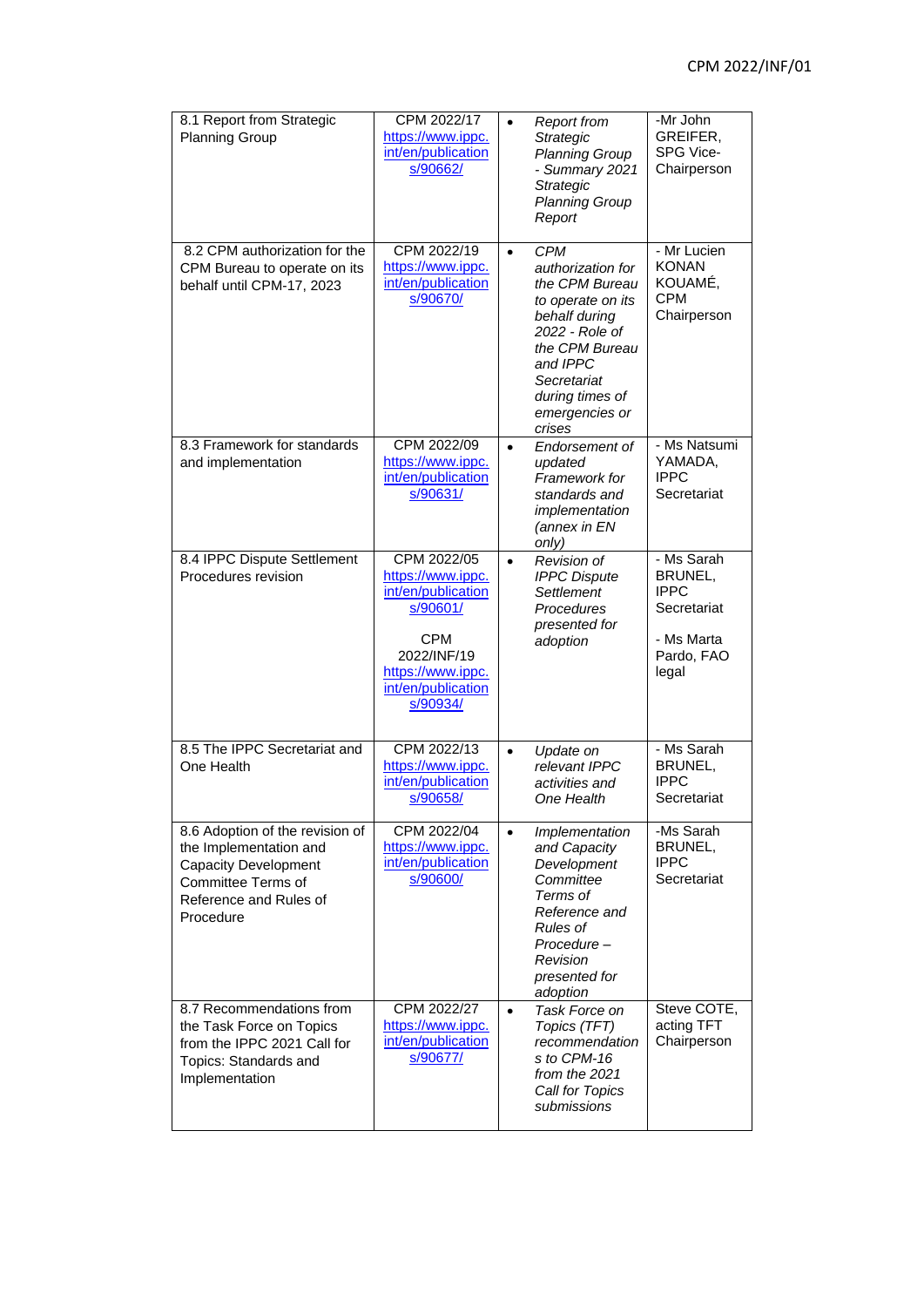| 8.1 Report from Strategic<br><b>Planning Group</b>                                                                                                           | CPM 2022/17<br>https://www.ippc.<br>int/en/publication<br>s/90662/                                                                                     | $\bullet$ | <b>Report from</b><br>Strategic<br><b>Planning Group</b><br>- Summary 2021<br>Strategic<br><b>Planning Group</b><br>Report                                                                            | -Mr John<br>GREIFER,<br>SPG Vice-<br>Chairperson                                         |
|--------------------------------------------------------------------------------------------------------------------------------------------------------------|--------------------------------------------------------------------------------------------------------------------------------------------------------|-----------|-------------------------------------------------------------------------------------------------------------------------------------------------------------------------------------------------------|------------------------------------------------------------------------------------------|
| 8.2 CPM authorization for the<br>CPM Bureau to operate on its<br>behalf until CPM-17, 2023                                                                   | CPM 2022/19<br>https://www.ippc.<br>int/en/publication<br>s/90670/                                                                                     | $\bullet$ | <b>CPM</b><br>authorization for<br>the CPM Bureau<br>to operate on its<br>behalf during<br>2022 - Role of<br>the CPM Bureau<br>and IPPC<br>Secretariat<br>during times of<br>emergencies or<br>crises | - Mr Lucien<br><b>KONAN</b><br>KOUAMÉ,<br><b>CPM</b><br>Chairperson                      |
| 8.3 Framework for standards<br>and implementation                                                                                                            | CPM 2022/09<br>https://www.ippc.<br>int/en/publication<br>s/90631/                                                                                     | $\bullet$ | Endorsement of<br>updated<br>Framework for<br>standards and<br>implementation<br>(annex in EN<br>only)                                                                                                | - Ms Natsumi<br>YAMADA,<br><b>IPPC</b><br>Secretariat                                    |
| 8.4 IPPC Dispute Settlement<br>Procedures revision                                                                                                           | CPM 2022/05<br>https://www.ippc.<br>int/en/publication<br>s/90601/<br><b>CPM</b><br>2022/INF/19<br>https://www.ippc.<br>int/en/publication<br>s/90934/ | $\bullet$ | Revision of<br><b>IPPC Dispute</b><br><b>Settlement</b><br>Procedures<br>presented for<br>adoption                                                                                                    | - Ms Sarah<br>BRUNEL,<br><b>IPPC</b><br>Secretariat<br>- Ms Marta<br>Pardo, FAO<br>legal |
| 8.5 The IPPC Secretariat and<br>One Health                                                                                                                   | CPM 2022/13<br>https://www.ippc.<br>int/en/publication<br>s/90658/                                                                                     | $\bullet$ | Update on<br>relevant IPPC<br>activities and<br>One Health                                                                                                                                            | - Ms Sarah<br>BRUNEL,<br><b>IPPC</b><br>Secretariat                                      |
| 8.6 Adoption of the revision of<br>the Implementation and<br><b>Capacity Development</b><br><b>Committee Terms of</b><br>Reference and Rules of<br>Procedure | CPM 2022/04<br>https://www.ippc.<br>int/en/publication<br>s/90600/                                                                                     | $\bullet$ | Implementation<br>and Capacity<br>Development<br>Committee<br>Terms of<br>Reference and<br>Rules of<br>Procedure-<br>Revision<br>presented for<br>adoption                                            | -Ms Sarah<br>BRUNEL,<br><b>IPPC</b><br>Secretariat                                       |
| 8.7 Recommendations from<br>the Task Force on Topics<br>from the IPPC 2021 Call for<br>Topics: Standards and<br>Implementation                               | CPM 2022/27<br>https://www.ippc.<br>int/en/publication<br>s/90677/                                                                                     | $\bullet$ | Task Force on<br>Topics (TFT)<br>recommendation<br>s to CPM-16<br>from the 2021<br>Call for Topics<br>submissions                                                                                     | Steve COTE,<br>acting TFT<br>Chairperson                                                 |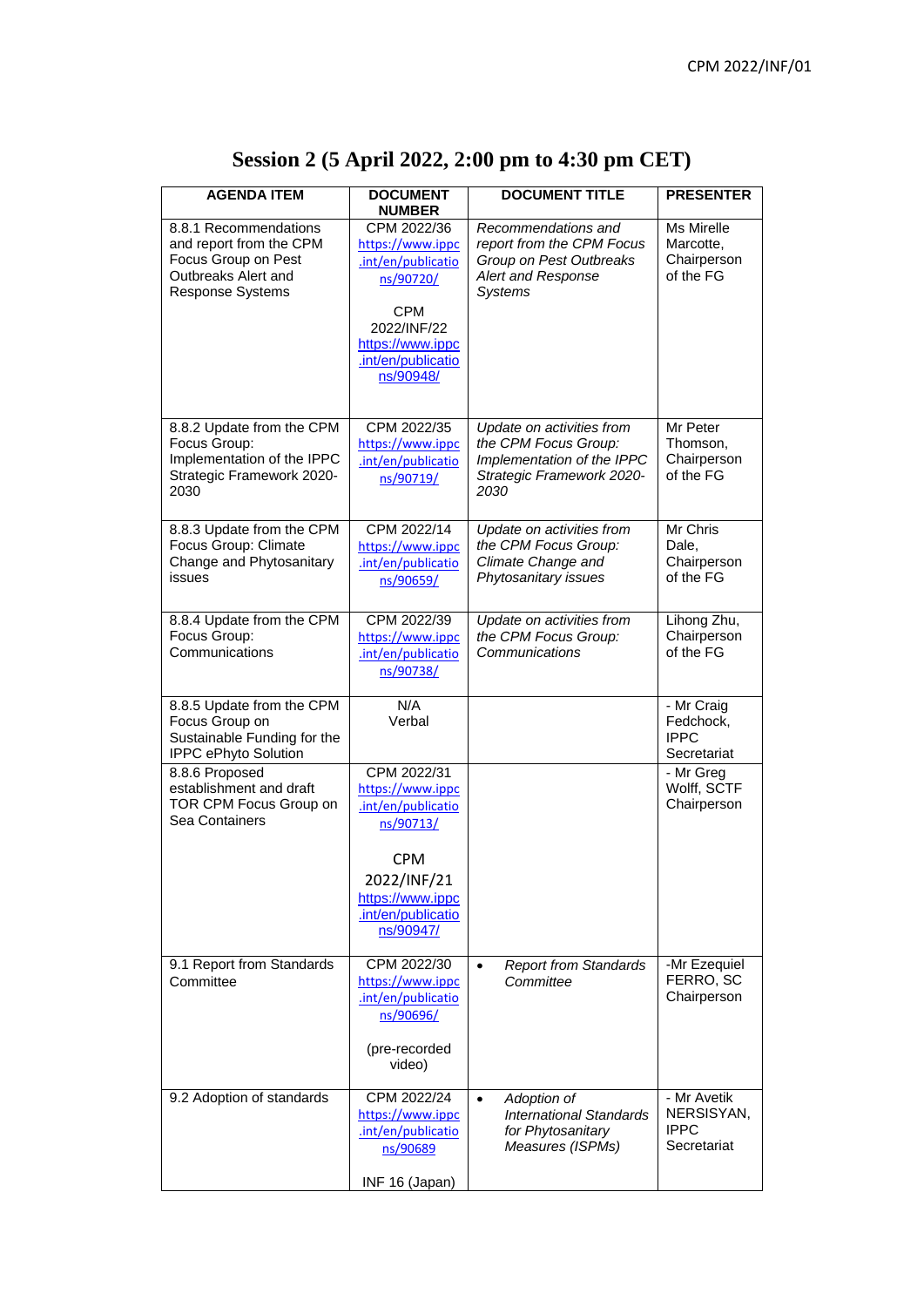| <b>AGENDA ITEM</b>                                                                                                 | <b>DOCUMENT</b><br><b>NUMBER</b>                                                                                                                       | <b>DOCUMENT TITLE</b>                                                                                                | <b>PRESENTER</b>                                        |
|--------------------------------------------------------------------------------------------------------------------|--------------------------------------------------------------------------------------------------------------------------------------------------------|----------------------------------------------------------------------------------------------------------------------|---------------------------------------------------------|
| 8.8.1 Recommendations<br>and report from the CPM<br>Focus Group on Pest<br>Outbreaks Alert and<br>Response Systems | CPM 2022/36<br>https://www.ippc<br>.int/en/publicatio<br>ns/90720/<br><b>CPM</b><br>2022/INF/22<br>https://www.ippc<br>.int/en/publicatio<br>ns/90948/ | Recommendations and<br>report from the CPM Focus<br>Group on Pest Outbreaks<br>Alert and Response<br><b>Systems</b>  | Ms Mirelle<br>Marcotte,<br>Chairperson<br>of the FG     |
| 8.8.2 Update from the CPM<br>Focus Group:<br>Implementation of the IPPC<br>Strategic Framework 2020-<br>2030       | CPM 2022/35<br>https://www.ippc<br>.int/en/publicatio<br>ns/90719/                                                                                     | Update on activities from<br>the CPM Focus Group:<br>Implementation of the IPPC<br>Strategic Framework 2020-<br>2030 | Mr Peter<br>Thomson,<br>Chairperson<br>of the FG        |
| 8.8.3 Update from the CPM<br>Focus Group: Climate<br>Change and Phytosanitary<br>issues                            | CPM 2022/14<br>https://www.ippc<br>.int/en/publicatio<br>ns/90659/                                                                                     | Update on activities from<br>the CPM Focus Group:<br>Climate Change and<br>Phytosanitary issues                      | Mr Chris<br>Dale,<br>Chairperson<br>of the FG           |
| 8.8.4 Update from the CPM<br>Focus Group:<br>Communications                                                        | CPM 2022/39<br>https://www.ippc<br>.int/en/publicatio<br>ns/90738/                                                                                     | Update on activities from<br>the CPM Focus Group:<br>Communications                                                  | Lihong Zhu,<br>Chairperson<br>of the FG                 |
| 8.8.5 Update from the CPM<br>Focus Group on<br>Sustainable Funding for the<br>IPPC ePhyto Solution                 | N/A<br>Verbal                                                                                                                                          |                                                                                                                      | - Mr Craig<br>Fedchock,<br><b>IPPC</b><br>Secretariat   |
| 8.8.6 Proposed<br>establishment and draft<br>TOR CPM Focus Group on<br>Sea Containers                              | CPM 2022/31<br>https://www.ippc<br>.int/en/publicatio<br>ns/90713/<br><b>CPM</b><br>2022/INF/21<br>https://www.ippc<br>.int/en/publicatio<br>ns/90947/ |                                                                                                                      | - Mr Greg<br>Wolff, SCTF<br>Chairperson                 |
| 9.1 Report from Standards<br>Committee                                                                             | CPM 2022/30<br>https://www.ippc<br>.int/en/publicatio<br>ns/90696/<br>(pre-recorded<br>video)                                                          | <b>Report from Standards</b><br>$\bullet$<br>Committee                                                               | -Mr Ezequiel<br>FERRO, SC<br>Chairperson                |
| 9.2 Adoption of standards                                                                                          | CPM 2022/24<br>https://www.ippc<br>.int/en/publicatio<br>ns/90689<br>INF 16 (Japan)                                                                    | Adoption of<br>$\bullet$<br><b>International Standards</b><br>for Phytosanitary<br>Measures (ISPMs)                  | - Mr Avetik<br>NERSISYAN,<br><b>IPPC</b><br>Secretariat |

# **Session 2 (5 April 2022, 2:00 pm to 4:30 pm CET)**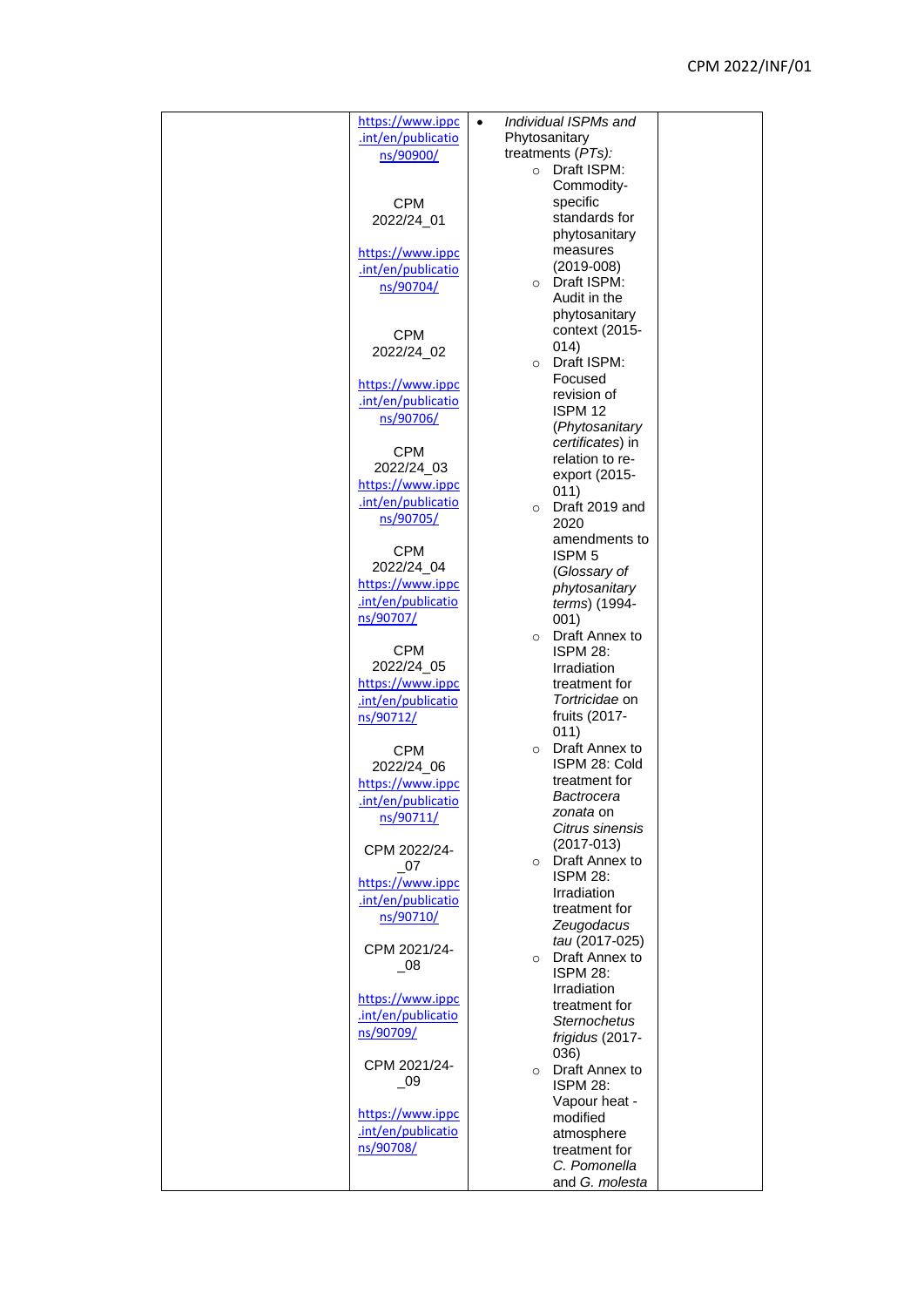| https://www.ippc            | $\bullet$     | Individual ISPMs and   |  |
|-----------------------------|---------------|------------------------|--|
|                             |               |                        |  |
| .int/en/publicatio          | Phytosanitary |                        |  |
| ns/90900/                   |               | treatments (PTs):      |  |
|                             | $\circ$       | Draft ISPM:            |  |
|                             |               | Commodity-             |  |
| <b>CPM</b>                  |               | specific               |  |
| 2022/24_01                  |               | standards for          |  |
|                             |               | phytosanitary          |  |
| https://www.ippc            |               | measures               |  |
| .int/en/publicatio          |               | $(2019 - 008)$         |  |
|                             |               | O Draft ISPM:          |  |
| ns/90704/                   |               | Audit in the           |  |
|                             |               | phytosanitary          |  |
|                             |               | context (2015-         |  |
| <b>CPM</b>                  |               | 014)                   |  |
| 2022/24_02                  |               | Draft ISPM:            |  |
|                             | $\circ$       | Focused                |  |
| https://www.ippc            |               |                        |  |
| .int/en/publicatio          |               | revision of            |  |
| ns/90706/                   |               | ISPM 12                |  |
|                             |               | (Phytosanitary         |  |
| <b>CPM</b>                  |               | certificates) in       |  |
| 2022/24_03                  |               | relation to re-        |  |
| https://www.ippc            |               | export (2015-          |  |
|                             |               | 011)                   |  |
| .int/en/publicatio          | $\circ$       | Draft 2019 and         |  |
| ns/90705/                   |               | 2020                   |  |
|                             |               | amendments to          |  |
| <b>CPM</b>                  |               | ISPM <sub>5</sub>      |  |
| 2022/24_04                  |               | (Glossary of           |  |
| https://www.ippc            |               | phytosanitary          |  |
| .int/en/publicatio          |               | terms) (1994-          |  |
| ns/90707/                   |               | 001)                   |  |
|                             | $\circ$       | Draft Annex to         |  |
| <b>CPM</b>                  |               | <b>ISPM 28:</b>        |  |
| 2022/24_05                  |               | Irradiation            |  |
| https://www.ippc            |               | treatment for          |  |
| .int/en/publicatio          |               | Tortricidae on         |  |
|                             |               | fruits (2017-          |  |
| ns/90712/                   |               | 011)                   |  |
|                             | $\circ$       | Draft Annex to         |  |
| <b>CPM</b>                  |               |                        |  |
| 2022/24_06                  |               | ISPM 28: Cold          |  |
| https://www.ippc            |               | treatment for          |  |
| .int/en/publicatio          |               | Bactrocera             |  |
| ns/90711/                   |               | zonata on              |  |
|                             |               | Citrus sinensis        |  |
| CPM 2022/24-                |               | $(2017-013)$           |  |
| $_{\circ}$ 07               |               | ○ Draft Annex to       |  |
| https://www.ippc            |               | <b>ISPM 28:</b>        |  |
| .int/en/publicatio          |               | Irradiation            |  |
| ns/90710/                   |               | treatment for          |  |
|                             |               | Zeugodacus             |  |
| CPM 2021/24-                |               | tau (2017-025)         |  |
| $\overline{\phantom{0}}$ 08 |               | $\circ$ Draft Annex to |  |
|                             |               | <b>ISPM 28:</b>        |  |
|                             |               | Irradiation            |  |
| https://www.ippc            |               | treatment for          |  |
| .int/en/publicatio          |               | <b>Sternochetus</b>    |  |
| ns/90709/                   |               | frigidus (2017-        |  |
|                             |               | 036)                   |  |
| CPM 2021/24-                |               | o Draft Annex to       |  |
| $\overline{\phantom{0}}$ 09 |               | <b>ISPM 28:</b>        |  |
|                             |               | Vapour heat -          |  |
| https://www.ippc            |               | modified               |  |
| .int/en/publicatio          |               | atmosphere             |  |
| ns/90708/                   |               | treatment for          |  |
|                             |               | C. Pomonella           |  |
|                             |               | and G. molesta         |  |
|                             |               |                        |  |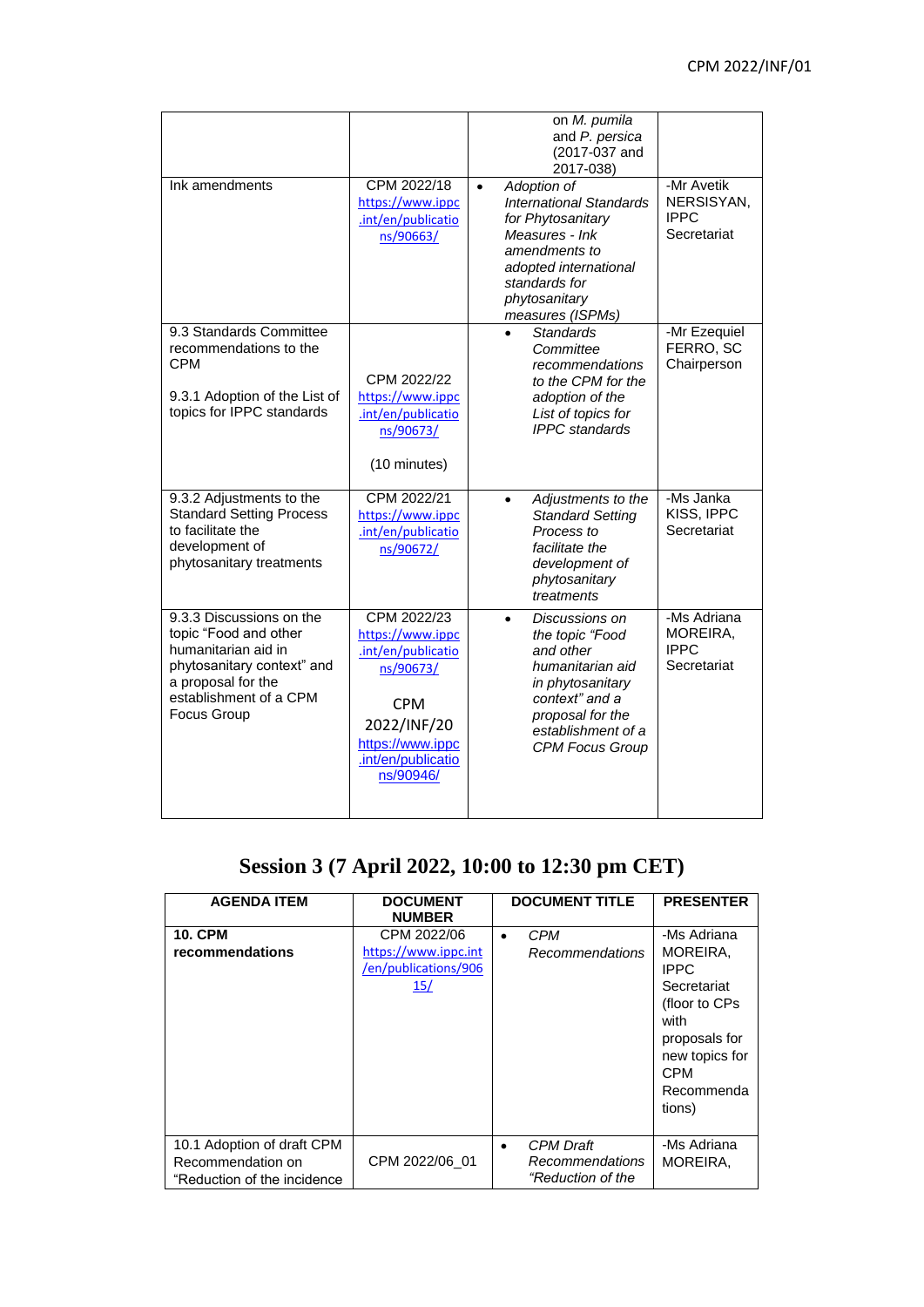|                                                                                                                                                                       |                                                                                                                                                        | on M. pumila<br>and P. persica<br>(2017-037 and<br>2017-038)                                                                                                                                      |                                                        |
|-----------------------------------------------------------------------------------------------------------------------------------------------------------------------|--------------------------------------------------------------------------------------------------------------------------------------------------------|---------------------------------------------------------------------------------------------------------------------------------------------------------------------------------------------------|--------------------------------------------------------|
| Ink amendments                                                                                                                                                        | CPM 2022/18<br>https://www.ippc<br>.int/en/publicatio<br>ns/90663/                                                                                     | Adoption of<br>$\bullet$<br><b>International Standards</b><br>for Phytosanitary<br>Measures - Ink<br>amendments to<br>adopted international<br>standards for<br>phytosanitary<br>measures (ISPMs) | -Mr Avetik<br>NERSISYAN,<br><b>IPPC</b><br>Secretariat |
| 9.3 Standards Committee<br>recommendations to the<br>CPM<br>9.3.1 Adoption of the List of<br>topics for IPPC standards                                                | CPM 2022/22<br>https://www.ippc<br>.int/en/publicatio<br>ns/90673/                                                                                     | <b>Standards</b><br>Committee<br>recommendations<br>to the CPM for the<br>adoption of the<br>List of topics for<br><b>IPPC</b> standards                                                          | -Mr Ezequiel<br>FERRO, SC<br>Chairperson               |
|                                                                                                                                                                       | (10 minutes)                                                                                                                                           |                                                                                                                                                                                                   |                                                        |
| 9.3.2 Adjustments to the<br><b>Standard Setting Process</b><br>to facilitate the<br>development of<br>phytosanitary treatments                                        | CPM 2022/21<br>https://www.ippc<br>.int/en/publicatio<br>ns/90672/                                                                                     | Adjustments to the<br>$\bullet$<br><b>Standard Setting</b><br>Process to<br>facilitate the<br>development of<br>phytosanitary<br>treatments                                                       | -Ms Janka<br>KISS, IPPC<br>Secretariat                 |
| 9.3.3 Discussions on the<br>topic "Food and other<br>humanitarian aid in<br>phytosanitary context" and<br>a proposal for the<br>establishment of a CPM<br>Focus Group | CPM 2022/23<br>https://www.ippc<br>.int/en/publicatio<br>ns/90673/<br><b>CPM</b><br>2022/INF/20<br>https://www.ippc<br>.int/en/publicatio<br>ns/90946/ | Discussions on<br>$\bullet$<br>the topic "Food<br>and other<br>humanitarian aid<br>in phytosanitary<br>context" and a<br>proposal for the<br>establishment of a<br><b>CPM Focus Group</b>         | -Ms Adriana<br>MOREIRA,<br><b>IPPC</b><br>Secretariat  |

# **Session 3 (7 April 2022, 10:00 to 12:30 pm CET)**

| <b>AGENDA ITEM</b>                                                             | <b>DOCUMENT</b><br><b>NUMBER</b>                                   | <b>DOCUMENT TITLE</b>                                    | <b>PRESENTER</b>                                                                                                                                         |
|--------------------------------------------------------------------------------|--------------------------------------------------------------------|----------------------------------------------------------|----------------------------------------------------------------------------------------------------------------------------------------------------------|
| <b>10. CPM</b><br>recommendations                                              | CPM 2022/06<br>https://www.ippc.int<br>/en/publications/906<br>15/ | CPM<br><b>Recommendations</b>                            | -Ms Adriana<br>MOREIRA,<br><b>IPPC</b><br>Secretariat<br>(floor to CPs)<br>with<br>proposals for<br>new topics for<br><b>CPM</b><br>Recommenda<br>tions) |
| 10.1 Adoption of draft CPM<br>Recommendation on<br>"Reduction of the incidence | CPM 2022/06 01                                                     | <b>CPM</b> Draft<br>Recommendations<br>"Reduction of the | -Ms Adriana<br>MOREIRA,                                                                                                                                  |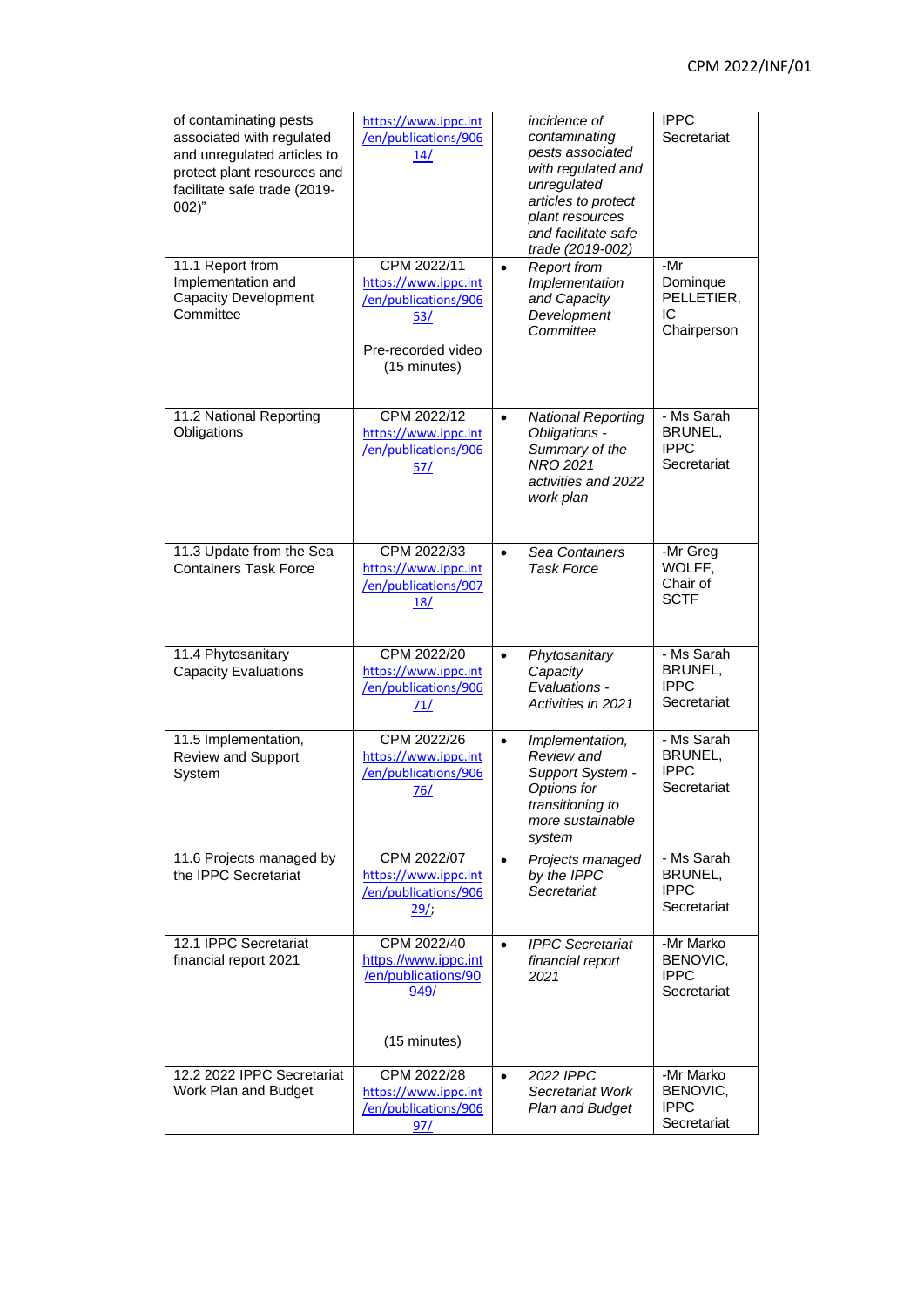| of contaminating pests<br>associated with regulated<br>and unregulated articles to<br>protect plant resources and<br>facilitate safe trade (2019-<br>002)'' | https://www.ippc.int<br>/en/publications/906<br>14/                                                      |           | incidence of<br>contaminating<br>pests associated<br>with regulated and<br>unregulated<br>articles to protect<br>plant resources<br>and facilitate safe<br>trade (2019-002) | <b>IPPC</b><br>Secretariat                          |
|-------------------------------------------------------------------------------------------------------------------------------------------------------------|----------------------------------------------------------------------------------------------------------|-----------|-----------------------------------------------------------------------------------------------------------------------------------------------------------------------------|-----------------------------------------------------|
| 11.1 Report from<br>Implementation and<br><b>Capacity Development</b><br>Committee                                                                          | CPM 2022/11<br>https://www.ippc.int<br>/en/publications/906<br>53/<br>Pre-recorded video<br>(15 minutes) | $\bullet$ | <b>Report from</b><br>Implementation<br>and Capacity<br>Development<br>Committee                                                                                            | -Mr<br>Dominque<br>PELLETIER,<br>IC<br>Chairperson  |
| 11.2 National Reporting<br>Obligations                                                                                                                      | CPM 2022/12<br>https://www.ippc.int<br>/en/publications/906<br>57/                                       | $\bullet$ | <b>National Reporting</b><br>Obligations -<br>Summary of the<br>NRO 2021<br>activities and 2022<br>work plan                                                                | - Ms Sarah<br>BRUNEL,<br><b>IPPC</b><br>Secretariat |
| 11.3 Update from the Sea<br><b>Containers Task Force</b>                                                                                                    | CPM 2022/33<br>https://www.ippc.int<br>/en/publications/907<br>18/                                       | $\bullet$ | Sea Containers<br><b>Task Force</b>                                                                                                                                         | -Mr Greg<br>WOLFF,<br>Chair of<br><b>SCTF</b>       |
| 11.4 Phytosanitary<br><b>Capacity Evaluations</b>                                                                                                           | CPM 2022/20<br>https://www.ippc.int<br>/en/publications/906<br>71/                                       | $\bullet$ | Phytosanitary<br>Capacity<br>Evaluations -<br>Activities in 2021                                                                                                            | - Ms Sarah<br>BRUNEL,<br><b>IPPC</b><br>Secretariat |
| 11.5 Implementation,<br>Review and Support<br>System                                                                                                        | CPM 2022/26<br>https://www.ippc.int<br>/en/publications/906<br>76/                                       | $\bullet$ | Implementation,<br>Review and<br>Support System -<br>Options for<br>transitioning to<br>more sustainable<br>system                                                          | - Ms Sarah<br>BRUNEL,<br><b>IPPC</b><br>Secretariat |
| 11.6 Projects managed by<br>the IPPC Secretariat                                                                                                            | CPM 2022/07<br>https://www.ippc.int<br>/en/publications/906<br>29/                                       | $\bullet$ | Projects managed<br>by the IPPC<br>Secretariat                                                                                                                              | - Ms Sarah<br>BRUNEL,<br><b>IPPC</b><br>Secretariat |
| 12.1 IPPC Secretariat<br>financial report 2021                                                                                                              | CPM 2022/40<br>https://www.ippc.int<br>/en/publications/90<br>949/<br>(15 minutes)                       |           | <b>IPPC</b> Secretariat<br>financial report<br>2021                                                                                                                         | -Mr Marko<br>BENOVIC,<br><b>IPPC</b><br>Secretariat |
| 12.2 2022 IPPC Secretariat<br>Work Plan and Budget                                                                                                          | CPM 2022/28<br>https://www.ippc.int<br>/en/publications/906<br>97/                                       |           | 2022 IPPC<br>Secretariat Work<br>Plan and Budget                                                                                                                            | -Mr Marko<br>BENOVIC,<br><b>IPPC</b><br>Secretariat |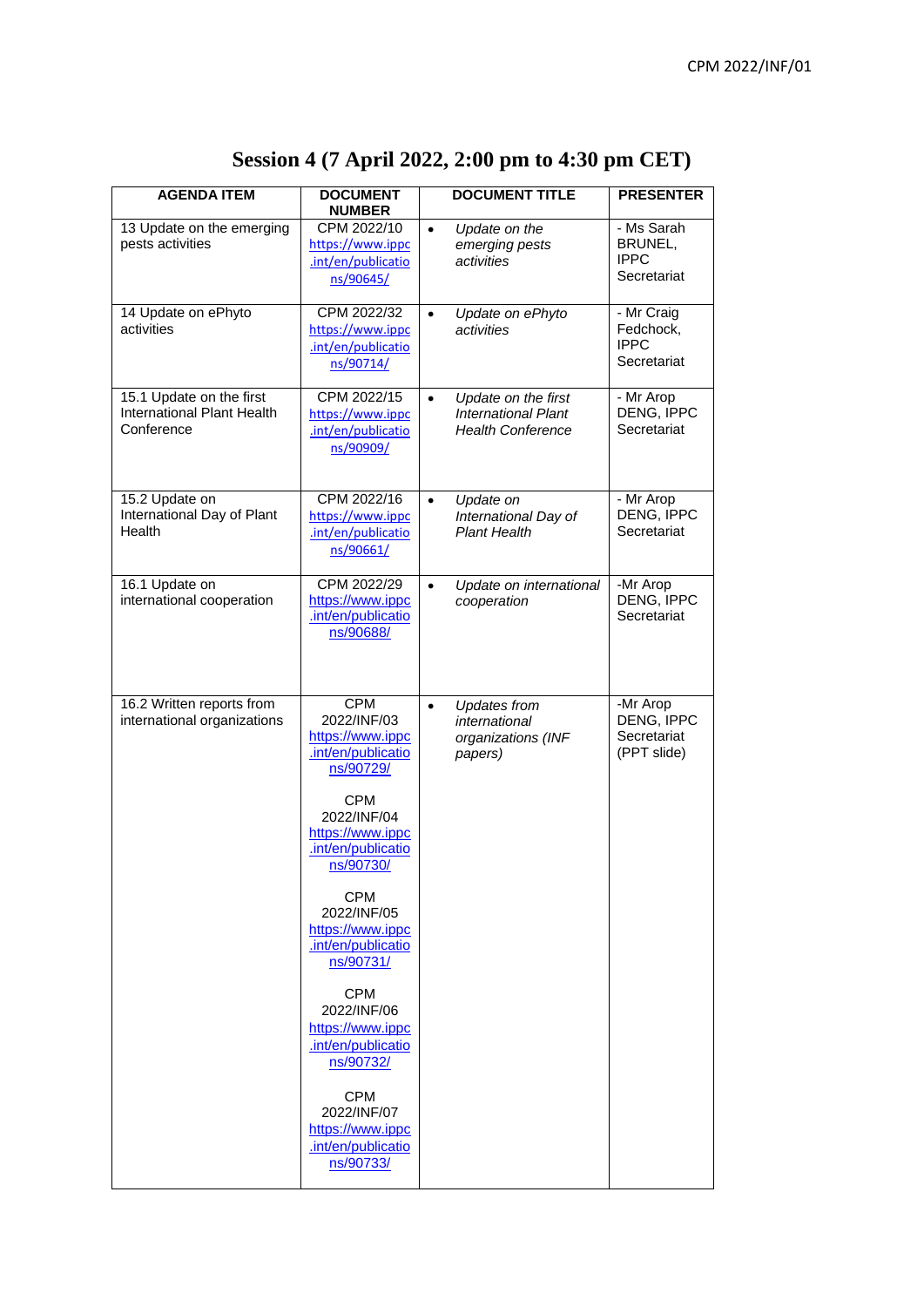| <b>AGENDA ITEM</b>                                                   | <b>DOCUMENT</b><br><b>NUMBER</b>                                                 | <b>DOCUMENT TITLE</b>                                                                      | <b>PRESENTER</b>                                      |
|----------------------------------------------------------------------|----------------------------------------------------------------------------------|--------------------------------------------------------------------------------------------|-------------------------------------------------------|
| 13 Update on the emerging<br>pests activities                        | CPM 2022/10<br>https://www.ippc<br>.int/en/publicatio<br>ns/90645/               | Update on the<br>$\bullet$<br>emerging pests<br>activities                                 | - Ms Sarah<br>BRUNEL,<br><b>IPPC</b><br>Secretariat   |
| 14 Update on ePhyto<br>activities                                    | CPM 2022/32<br>https://www.ippc<br>.int/en/publicatio<br>ns/90714/               | Update on ePhyto<br>$\bullet$<br>activities                                                | - Mr Craig<br>Fedchock,<br><b>IPPC</b><br>Secretariat |
| 15.1 Update on the first<br>International Plant Health<br>Conference | CPM 2022/15<br>https://www.ippc<br>.int/en/publicatio<br>ns/90909/               | Update on the first<br>$\bullet$<br><b>International Plant</b><br><b>Health Conference</b> | - Mr Arop<br>DENG, IPPC<br>Secretariat                |
| 15.2 Update on<br>International Day of Plant<br>Health               | CPM 2022/16<br>https://www.ippc<br>.int/en/publicatio<br>ns/90661/               | Update on<br>$\bullet$<br>International Day of<br><b>Plant Health</b>                      | - Mr Arop<br>DENG, IPPC<br>Secretariat                |
| 16.1 Update on<br>international cooperation                          | CPM 2022/29<br>https://www.ippc<br>.int/en/publicatio<br>ns/90688/               | Update on international<br>$\bullet$<br>cooperation                                        | -Mr Arop<br>DENG, IPPC<br>Secretariat                 |
| 16.2 Written reports from<br>international organizations             | <b>CPM</b><br>2022/INF/03<br>https://www.ippc<br>.int/en/publicatio<br>ns/90729/ | <b>Updates from</b><br>$\bullet$<br>international<br>organizations (INF<br>papers)         | -Mr Arop<br>DENG, IPPC<br>Secretariat<br>(PPT slide)  |
|                                                                      | CPM<br>2022/INF/04<br>https://www.ippc<br>.int/en/publicatio<br>ns/90730/        |                                                                                            |                                                       |
|                                                                      | <b>CPM</b><br>2022/INF/05<br>https://www.ippc<br>.int/en/publicatio<br>ns/90731/ |                                                                                            |                                                       |
|                                                                      | <b>CPM</b><br>2022/INF/06<br>https://www.ippc<br>.int/en/publicatio<br>ns/90732/ |                                                                                            |                                                       |
|                                                                      | <b>CPM</b><br>2022/INF/07<br>https://www.ippc<br>.int/en/publicatio<br>ns/90733/ |                                                                                            |                                                       |

# **Session 4 (7 April 2022, 2:00 pm to 4:30 pm CET)**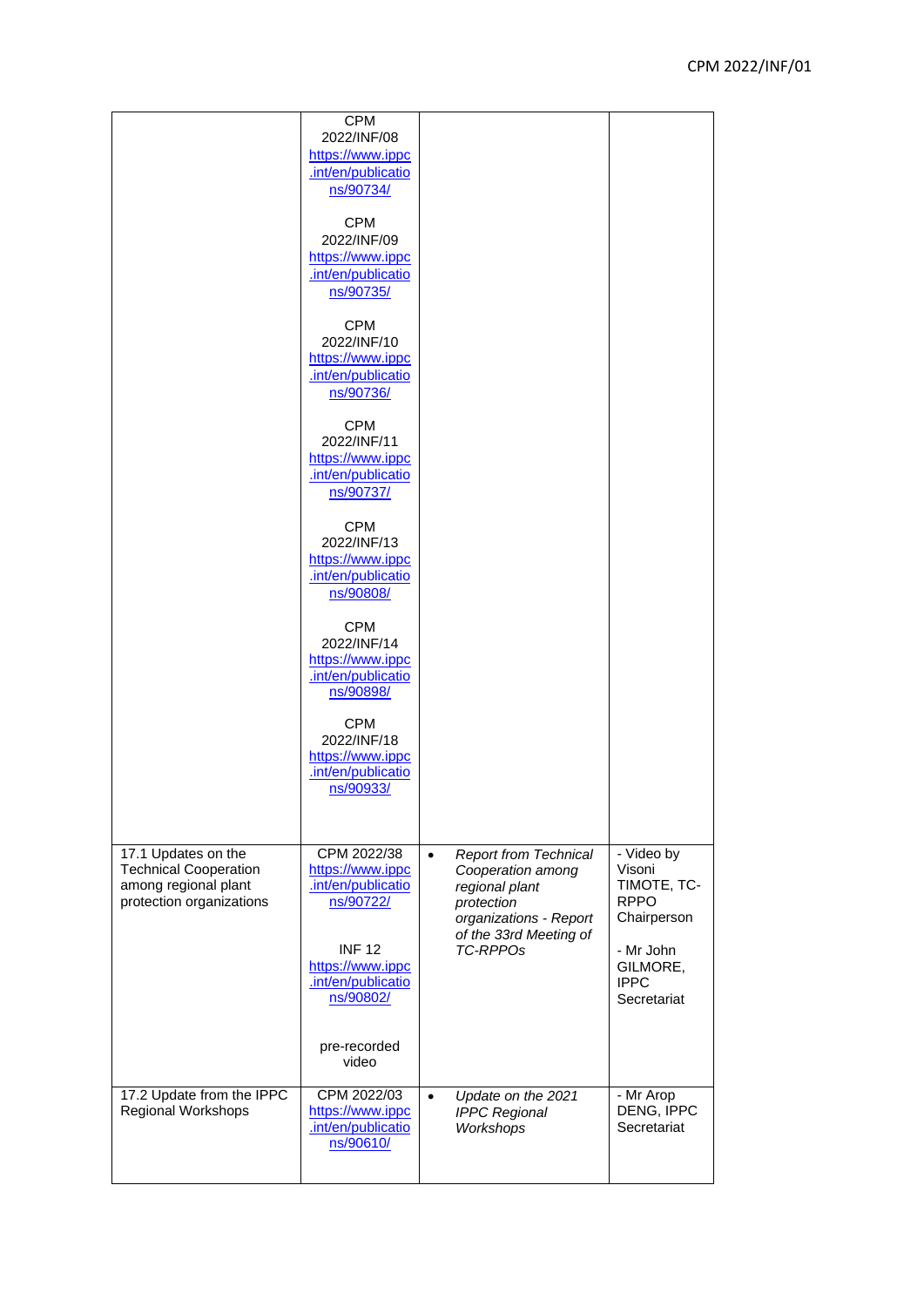|                                                                                                         | <b>CPM</b><br>2022/INF/08<br>https://www.ippc<br>.int/en/publicatio<br>ns/90734/<br><b>CPM</b><br>2022/INF/09<br>https://www.ippc<br>.int/en/publicatio<br>ns/90735/<br><b>CPM</b><br>2022/INF/10<br>https://www.ippc<br>.int/en/publicatio<br>ns/90736/<br><b>CPM</b><br>2022/INF/11<br>https://www.ippc<br>.int/en/publicatio<br>ns/90737/<br><b>CPM</b><br>2022/INF/13 |           |                                                                                                                                                          |                                                                                                                          |
|---------------------------------------------------------------------------------------------------------|---------------------------------------------------------------------------------------------------------------------------------------------------------------------------------------------------------------------------------------------------------------------------------------------------------------------------------------------------------------------------|-----------|----------------------------------------------------------------------------------------------------------------------------------------------------------|--------------------------------------------------------------------------------------------------------------------------|
|                                                                                                         | https://www.ippc<br>.int/en/publicatio<br>ns/90808/<br><b>CPM</b><br>2022/INF/14<br>https://www.ippc<br>.int/en/publicatio<br>ns/90898/<br><b>CPM</b><br>2022/INF/18<br>https://www.ippc<br>.int/en/publicatio<br>ns/90933/                                                                                                                                               |           |                                                                                                                                                          |                                                                                                                          |
| 17.1 Updates on the<br><b>Technical Cooperation</b><br>among regional plant<br>protection organizations | CPM 2022/38<br>https://www.ippc<br>.int/en/publicatio<br>ns/90722/<br><b>INF 12</b><br>https://www.ippc<br>.int/en/publicatio<br>ns/90802/<br>pre-recorded<br>video                                                                                                                                                                                                       | $\bullet$ | <b>Report from Technical</b><br>Cooperation among<br>regional plant<br>protection<br>organizations - Report<br>of the 33rd Meeting of<br><b>TC-RPPOs</b> | - Video by<br>Visoni<br>TIMOTE, TC-<br><b>RPPO</b><br>Chairperson<br>- Mr John<br>GILMORE,<br><b>IPPC</b><br>Secretariat |
| 17.2 Update from the IPPC<br>Regional Workshops                                                         | CPM 2022/03<br>https://www.ippc<br>.int/en/publicatio<br>ns/90610/                                                                                                                                                                                                                                                                                                        | $\bullet$ | Update on the 2021<br><b>IPPC Regional</b><br>Workshops                                                                                                  | - Mr Arop<br>DENG, IPPC<br>Secretariat                                                                                   |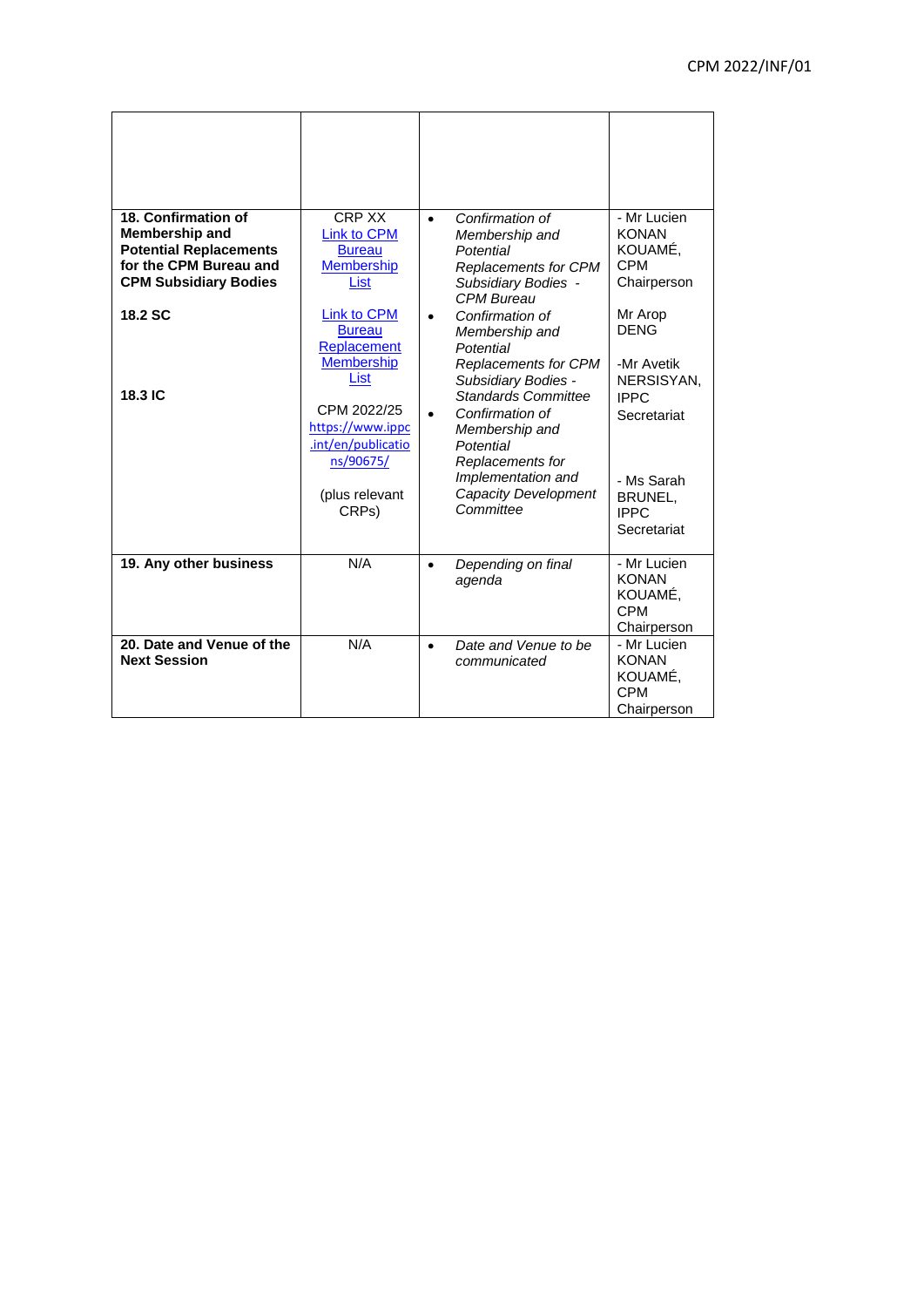| 18. Confirmation of<br>Membership and<br><b>Potential Replacements</b><br>for the CPM Bureau and<br><b>CPM Subsidiary Bodies</b><br><b>18.2 SC</b> | CRP XX<br>Link to CPM<br><b>Bureau</b><br><b>Membership</b><br>List<br><b>Link to CPM</b><br><b>Bureau</b><br>Replacement<br><b>Membership</b> | Confirmation of<br>$\bullet$<br>Membership and<br>Potential<br><b>Replacements for CPM</b><br>Subsidiary Bodies -<br><b>CPM Bureau</b><br>Confirmation of<br>$\bullet$<br>Membership and<br>Potential<br>Replacements for CPM | - Mr Lucien<br><b>KONAN</b><br>KOUAMÉ,<br><b>CPM</b><br>Chairperson<br>Mr Arop<br><b>DENG</b><br>-Mr Avetik |
|----------------------------------------------------------------------------------------------------------------------------------------------------|------------------------------------------------------------------------------------------------------------------------------------------------|-------------------------------------------------------------------------------------------------------------------------------------------------------------------------------------------------------------------------------|-------------------------------------------------------------------------------------------------------------|
|                                                                                                                                                    | List                                                                                                                                           | Subsidiary Bodies -                                                                                                                                                                                                           | NERSISYAN,                                                                                                  |
| <b>18.3 IC</b>                                                                                                                                     |                                                                                                                                                | <b>Standards Committee</b>                                                                                                                                                                                                    | <b>IPPC</b>                                                                                                 |
|                                                                                                                                                    | CPM 2022/25                                                                                                                                    | Confirmation of<br>$\bullet$                                                                                                                                                                                                  | Secretariat                                                                                                 |
|                                                                                                                                                    | https://www.ippc<br>.int/en/publicatio                                                                                                         | Membership and<br>Potential                                                                                                                                                                                                   |                                                                                                             |
|                                                                                                                                                    | ns/90675/                                                                                                                                      | Replacements for                                                                                                                                                                                                              |                                                                                                             |
|                                                                                                                                                    |                                                                                                                                                | Implementation and                                                                                                                                                                                                            | - Ms Sarah                                                                                                  |
|                                                                                                                                                    | (plus relevant                                                                                                                                 | Capacity Development<br>Committee                                                                                                                                                                                             | BRUNEL,                                                                                                     |
|                                                                                                                                                    | CRPs)                                                                                                                                          |                                                                                                                                                                                                                               | <b>IPPC</b><br>Secretariat                                                                                  |
|                                                                                                                                                    |                                                                                                                                                |                                                                                                                                                                                                                               |                                                                                                             |
| 19. Any other business                                                                                                                             | N/A                                                                                                                                            | Depending on final<br>$\bullet$<br>agenda                                                                                                                                                                                     | - Mr Lucien<br><b>KONAN</b><br>KOUAMÉ,<br><b>CPM</b><br>Chairperson                                         |
| 20. Date and Venue of the<br><b>Next Session</b>                                                                                                   | N/A                                                                                                                                            | Date and Venue to be<br>$\bullet$<br>communicated                                                                                                                                                                             | - Mr Lucien<br><b>KONAN</b><br>KOUAMÉ,<br><b>CPM</b><br>Chairperson                                         |